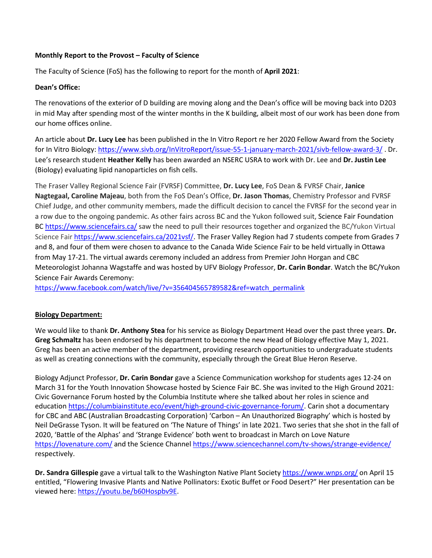### **Monthly Report to the Provost – Faculty of Science**

The Faculty of Science (FoS) has the following to report for the month of **April 2021**:

### **Dean's Office:**

The renovations of the exterior of D building are moving along and the Dean's office will be moving back into D203 in mid May after spending most of the winter months in the K building, albeit most of our work has been done from our home offices online.

An article about **Dr. Lucy Lee** has been published in the In Vitro Report re her 2020 Fellow Award from the Society for In Vitro Biology:<https://www.sivb.org/InVitroReport/issue-55-1-january-march-2021/sivb-fellow-award-3/> . Dr. Lee's research student **Heather Kelly** has been awarded an NSERC USRA to work with Dr. Lee and **Dr. Justin Lee** (Biology) evaluating lipid nanoparticles on fish cells.

The Fraser Valley Regional Science Fair (FVRSF) Committee, **Dr. Lucy Lee**, FoS Dean & FVRSF Chair, **Janice Nagtegaal, Caroline Majeau**, both from the FoS Dean's Office, **Dr. Jason Thomas**, Chemistry Professor and FVRSF Chief Judge, and other community members, made the difficult decision to cancel the FVRSF for the second year in a row due to the ongoing pandemic. As other fairs across BC and the Yukon followed suit, Science Fair Foundation BC <https://www.sciencefairs.ca/> saw the need to pull their resources together and organized the [BC/Yukon](https://www.sciencefairs.ca/2021vsf/) Virtual [Science](https://www.sciencefairs.ca/2021vsf/) Fair [https://www.sciencefairs.ca/2021vsf/.](https://www.sciencefairs.ca/2021vsf/) The Fraser Valley Region had 7 students compete from Grades 7 and 8, and four of them were chosen to advance to the Canada Wide Science Fair to be held virtually in Ottawa from May 17-21. The virtual awards ceremony included an address from Premier John Horgan and CBC Meteorologist Johanna Wagstaffe and was hosted by UFV Biology Professor, **Dr. Carin Bondar**. Watch the BC/Yukon Science Fair Awards Ceremony:

[https://www.facebook.com/watch/live/?v=356404565789582&ref=watch\\_permalink](https://www.facebook.com/watch/live/?v=356404565789582&ref=watch_permalink)

# **Biology Department:**

We would like to thank **Dr. Anthony Stea** for his service as Biology Department Head over the past three years. **Dr. Greg Schmaltz** has been endorsed by his department to become the new Head of Biology effective May 1, 2021. Greg has been an active member of the department, providing research opportunities to undergraduate students as well as creating connections with the community, especially through the Great Blue Heron Reserve.

Biology Adjunct Professor, **Dr. Carin Bondar** gave a Science Communication workshop for students ages 12-24 on March 31 for the Youth Innovation Showcase hosted by Science Fair BC. She was invited to the High Ground 2021: Civic Governance Forum hosted by the Columbia Institute where she talked about her roles in science and education [https://columbiainstitute.eco/event/high-ground-civic-governance-forum/.](https://columbiainstitute.eco/event/high-ground-civic-governance-forum/) Carin shot a documentary for CBC and ABC (Australian Broadcasting Corporation) 'Carbon – An Unauthorized Biography' which is hosted by Neil DeGrasse Tyson. It will be featured on 'The Nature of Things' in late 2021. Two series that she shot in the fall of 2020, 'Battle of the Alphas' and 'Strange Evidence' both went to broadcast in March on Love Nature <https://lovenature.com/> and the Science Channe[l https://www.sciencechannel.com/tv-shows/strange-evidence/](https://www.sciencechannel.com/tv-shows/strange-evidence/) respectively.

**Dr. Sandra Gillespie** gave a virtual talk to the Washington Native Plant Societ[y https://www.wnps.org/](https://www.wnps.org/) on April 15 entitled, "Flowering Invasive Plants and Native Pollinators: Exotic Buffet or Food Desert?" Her presentation can be viewed here: [https://youtu.be/b60Hospbv9E.](https://youtu.be/b60Hospbv9E)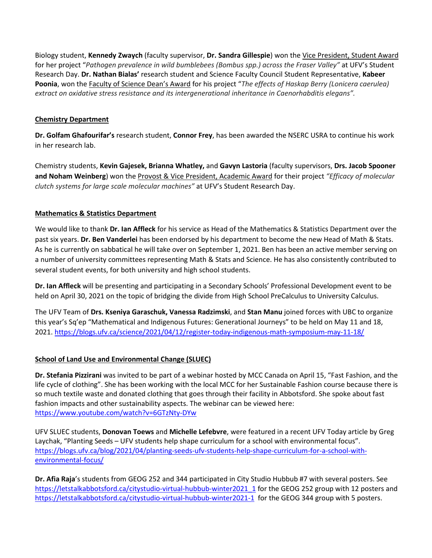Biology student, **Kennedy Zwaych** (faculty supervisor, **Dr. Sandra Gillespie**) won the Vice President, Student Award for her project "*Pathogen prevalence in wild bumblebees (Bombus spp.) across the Fraser Valley"* at UFV's Student Research Day. **Dr. Nathan Bialas'** research student and Science Faculty Council Student Representative, **Kabeer Poonia**, won the Faculty of Science Dean's Award for his project "*The effects of Haskap Berry (Lonicera caerulea) extract on oxidative stress resistance and its intergenerational inheritance in Caenorhabditis elegans".*

# **Chemistry Department**

**Dr. Golfam Ghafourifar's** research student, **Connor Frey**, has been awarded the NSERC USRA to continue his work in her research lab.

Chemistry students, **Kevin Gajesek, Brianna Whatley,** and **Gavyn Lastoria** (faculty supervisors, **Drs. Jacob Spooner and Noham Weinberg**) won the Provost & Vice President, Academic Award for their project *"Efficacy of molecular clutch systems for large scale molecular machines"* at UFV's Student Research Day.

# **Mathematics & Statistics Department**

We would like to thank **Dr. Ian Affleck** for his service as Head of the Mathematics & Statistics Department over the past six years. **Dr. Ben Vanderlei** has been endorsed by his department to become the new Head of Math & Stats. As he is currently on sabbatical he will take over on September 1, 2021. Ben has been an active member serving on a number of university committees representing Math & Stats and Science. He has also consistently contributed to several student events, for both university and high school students.

**Dr. Ian Affleck** will be presenting and participating in a Secondary Schools' Professional Development event to be held on April 30, 2021 on the topic of bridging the divide from High School PreCalculus to University Calculus.

The UFV Team of **Drs. Kseniya Garaschuk, Vanessa Radzimski**, and **Stan Manu** joined forces with UBC to organize this year's Sq'ep "Mathematical and Indigenous Futures: Generational Journeys" to be held on May 11 and 18, 2021.<https://blogs.ufv.ca/science/2021/04/12/register-today-indigenous-math-symposium-may-11-18/>

# **School of Land Use and Environmental Change (SLUEC)**

**Dr. Stefania Pizzirani** was invited to be part of a webinar hosted by MCC Canada on April 15, "Fast Fashion, and the life cycle of clothing". She has been working with the local MCC for her Sustainable Fashion course because there is so much textile waste and donated clothing that goes through their facility in Abbotsford. She spoke about fast fashion impacts and other sustainability aspects. The webinar can be viewed here: <https://www.youtube.com/watch?v=6GTzNty-DYw>

UFV SLUEC students, **Donovan Toews** and **Michelle Lefebvre**, were featured in a recent UFV Today article by Greg Laychak, "Planting Seeds – UFV students help shape curriculum for a school with environmental focus". [https://blogs.ufv.ca/blog/2021/04/planting-seeds-ufv-students-help-shape-curriculum-for-a-school-with](https://blogs.ufv.ca/blog/2021/04/planting-seeds-ufv-students-help-shape-curriculum-for-a-school-with-environmental-focus/)[environmental-focus/](https://blogs.ufv.ca/blog/2021/04/planting-seeds-ufv-students-help-shape-curriculum-for-a-school-with-environmental-focus/)

**Dr. Afia Raja**'s students from GEOG 252 and 344 participated in City Studio Hubbub #7 with several posters. See [https://letstalkabbotsford.ca/citystudio-virtual-hubbub-winter2021\\_1](https://letstalkabbotsford.ca/citystudio-virtual-hubbub-winter2021_1) for the GEOG 252 group with 12 posters and <https://letstalkabbotsford.ca/citystudio-virtual-hubbub-winter2021-1>for the GEOG 344 group with 5 posters.